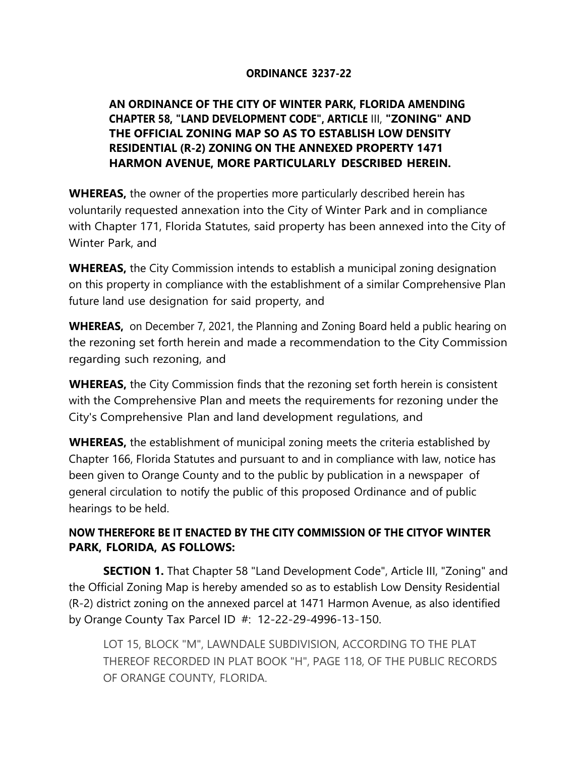## **ORDINANCE 3237-22**

## **AN ORDINANCE OF THE CITY OF WINTER PARK, FLORIDA AMENDING CHAPTER 58, "LAND DEVELOPMENT CODE", ARTICLE** III, **"ZONING" AND THE OFFICIAL ZONING MAP SO AS TO ESTABLISH LOW DENSITY RESIDENTIAL (R-2) ZONING ON THE ANNEXED PROPERTY 1471 HARMON AVENUE, MORE PARTICULARLY DESCRIBED HEREIN.**

**WHEREAS,** the owner of the properties more particularly described herein has voluntarily requested annexation into the City of Winter Park and in compliance with Chapter 171, Florida Statutes, said property has been annexed into the City of Winter Park, and

**WHEREAS,** the City Commission intends to establish a municipal zoning designation on this property in compliance with the establishment of a similar Comprehensive Plan future land use designation for said property, and

**WHEREAS,** on December 7, 2021, the Planning and Zoning Board held a public hearing on the rezoning set forth herein and made a recommendation to the City Commission regarding such rezoning, and

**WHEREAS,** the City Commission finds that the rezoning set forth herein is consistent with the Comprehensive Plan and meets the requirements for rezoning under the City's Comprehensive Plan and land development regulations, and

**WHEREAS,** the establishment of municipal zoning meets the criteria established by Chapter 166, Florida Statutes and pursuant to and in compliance with law, notice has been given to Orange County and to the public by publication in a newspaper of general circulation to notify the public of this proposed Ordinance and of public hearings to be held.

## **NOW THEREFORE BE IT ENACTED BY THE CITY COMMISSION OF THE CITY OF WINTER PARK, FLORIDA, AS FOLLOWS:**

**SECTION 1.** That Chapter 58 "Land Development Code", Article III, "Zoning" and the Official Zoning Map is hereby amended so as to establish Low Density Residential (R-2) district zoning on the annexed parcel at 1471 Harmon Avenue, as also identified by Orange County Tax Parcel ID #: 12-22-29-4996-13-150.

LOT 15, BLOCK "M", LAWNDALE SUBDIVISION, ACCORDING TO THE PLAT THEREOF RECORDED IN PLAT BOOK "H", PAGE 118, OF THE PUBLIC RECORDS OF ORANGE COUNTY, FLORIDA.